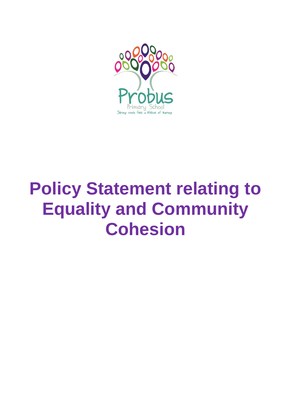

# **Policy Statement relating to Equality and Community Cohesion**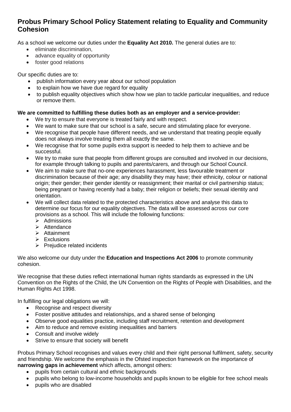# **Probus Primary School Policy Statement relating to Equality and Community Cohesion**

As a school we welcome our duties under the **Equality Act 2010.** The general duties are to:

- eliminate discrimination.
- advance equality of opportunity
- foster good relations

Our specific duties are to:

- publish information every year about our school population
- to explain how we have due regard for equality
- to publish equality objectives which show how we plan to tackle particular inequalities, and reduce or remove them.

### **We are committed to fulfilling these duties both as an employer and a service-provider:**

- We try to ensure that everyone is treated fairly and with respect.
- We want to make sure that our school is a safe, secure and stimulating place for everyone.
- We recognise that people have different needs, and we understand that treating people equally does not always involve treating them all exactly the same.
- We recognise that for some pupils extra support is needed to help them to achieve and be successful.
- We try to make sure that people from different groups are consulted and involved in our decisions, for example through talking to pupils and parents/carers, and through our School Council.
- We aim to make sure that no-one experiences harassment, less favourable treatment or discrimination because of their age; any disability they may have; their ethnicity, colour or national origin; their gender; their gender identity or reassignment; their marital or civil partnership status; being pregnant or having recently had a baby; their religion or beliefs; their sexual identity and orientation.
- We will collect data related to the protected characteristics above and analyse this data to determine our focus for our equality objectives. The data will be assessed across our core provisions as a school. This will include the following functions:
	- $\triangleright$  Admissions
	- $\triangleright$  Attendance
	- $\triangleright$  Attainment
	- $\triangleright$  Exclusions
	- $\triangleright$  Prejudice related incidents

We also welcome our duty under the **Education and Inspections Act 2006** to promote community cohesion.

We recognise that these duties reflect international human rights standards as expressed in the UN Convention on the Rights of the Child, the UN Convention on the Rights of People with Disabilities, and the Human Rights Act 1998.

In fulfilling our legal obligations we will:

- Recognise and respect diversity
- Foster positive attitudes and relationships, and a shared sense of belonging
- Observe good equalities practice, including staff recruitment, retention and development
- Aim to reduce and remove existing inequalities and barriers
- Consult and involve widely
- Strive to ensure that society will benefit

Probus Primary School recognises and values every child and their right personal fulfilment, safety, security and friendship. We welcome the emphasis in the Ofsted inspection framework on the importance of **narrowing gaps in achievement** which affects, amongst others:

- pupils from certain cultural and ethnic backgrounds
- pupils who belong to low-income households and pupils known to be eligible for free school meals
- pupils who are disabled